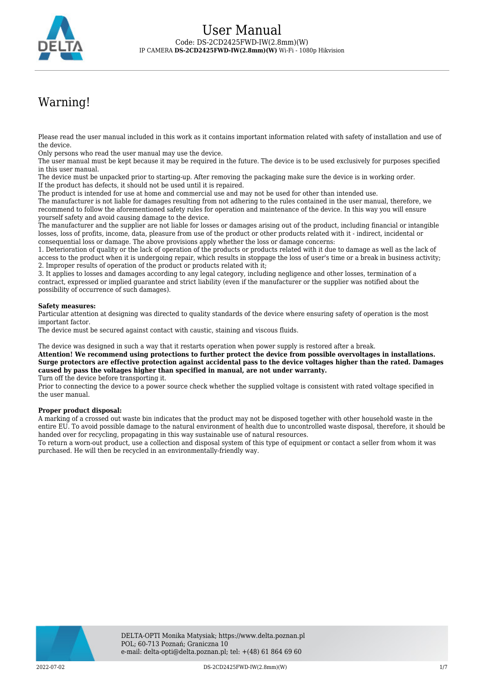

# Warning!

Please read the user manual included in this work as it contains important information related with safety of installation and use of the device.

Only persons who read the user manual may use the device.

The user manual must be kept because it may be required in the future. The device is to be used exclusively for purposes specified in this user manual.

The device must be unpacked prior to starting-up. After removing the packaging make sure the device is in working order. If the product has defects, it should not be used until it is repaired.

The product is intended for use at home and commercial use and may not be used for other than intended use.

The manufacturer is not liable for damages resulting from not adhering to the rules contained in the user manual, therefore, we recommend to follow the aforementioned safety rules for operation and maintenance of the device. In this way you will ensure yourself safety and avoid causing damage to the device.

The manufacturer and the supplier are not liable for losses or damages arising out of the product, including financial or intangible losses, loss of profits, income, data, pleasure from use of the product or other products related with it - indirect, incidental or consequential loss or damage. The above provisions apply whether the loss or damage concerns:

1. Deterioration of quality or the lack of operation of the products or products related with it due to damage as well as the lack of access to the product when it is undergoing repair, which results in stoppage the loss of user's time or a break in business activity; 2. Improper results of operation of the product or products related with it;

3. It applies to losses and damages according to any legal category, including negligence and other losses, termination of a contract, expressed or implied guarantee and strict liability (even if the manufacturer or the supplier was notified about the possibility of occurrence of such damages).

#### **Safety measures:**

Particular attention at designing was directed to quality standards of the device where ensuring safety of operation is the most important factor.

The device must be secured against contact with caustic, staining and viscous fluids.

The device was designed in such a way that it restarts operation when power supply is restored after a break.

**Attention! We recommend using protections to further protect the device from possible overvoltages in installations. Surge protectors are effective protection against accidental pass to the device voltages higher than the rated. Damages caused by pass the voltages higher than specified in manual, are not under warranty.**

Turn off the device before transporting it.

Prior to connecting the device to a power source check whether the supplied voltage is consistent with rated voltage specified in the user manual.

#### **Proper product disposal:**

A marking of a crossed out waste bin indicates that the product may not be disposed together with other household waste in the entire EU. To avoid possible damage to the natural environment of health due to uncontrolled waste disposal, therefore, it should be handed over for recycling, propagating in this way sustainable use of natural resources.

To return a worn-out product, use a collection and disposal system of this type of equipment or contact a seller from whom it was purchased. He will then be recycled in an environmentally-friendly way.

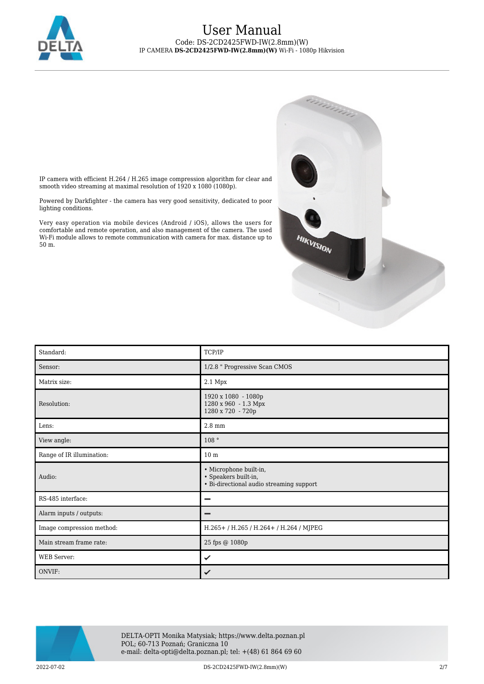

mmmm HIKVISION

IP camera with efficient H.264 / H.265 image compression algorithm for clear and smooth video streaming at maximal resolution of 1920 x 1080 (1080p).

Powered by Darkfighter - the camera has very good sensitivity, dedicated to poor lighting conditions.

Very easy operation via mobile devices (Android / iOS), allows the users for comfortable and remote operation, and also management of the camera. The used W<sub>i-Fi</sub> module allows to remote communication with camera for max. distance up to 50 m.

| Standard:                 | TCP/IP                                                                                     |
|---------------------------|--------------------------------------------------------------------------------------------|
| Sensor:                   | 1/2.8 " Progressive Scan CMOS                                                              |
| Matrix size:              | 2.1 Mpx                                                                                    |
| Resolution:               | 1920 x 1080 - 1080p<br>1280 x 960 - 1.3 Mpx<br>1280 x 720 - 720p                           |
| Lens:                     | $2.8 \text{ mm}$                                                                           |
| View angle:               | 108°                                                                                       |
| Range of IR illumination: | 10 <sub>m</sub>                                                                            |
| Audio:                    | · Microphone built-in,<br>· Speakers built-in,<br>• Bi-directional audio streaming support |
| RS-485 interface:         |                                                                                            |
| Alarm inputs / outputs:   |                                                                                            |
| Image compression method: | H.265+/H.265/H.264+/H.264/MJPEG                                                            |
| Main stream frame rate:   | 25 fps @ 1080p                                                                             |
| <b>WEB</b> Server:        | ✓                                                                                          |
| ONVIF:                    | ✓                                                                                          |

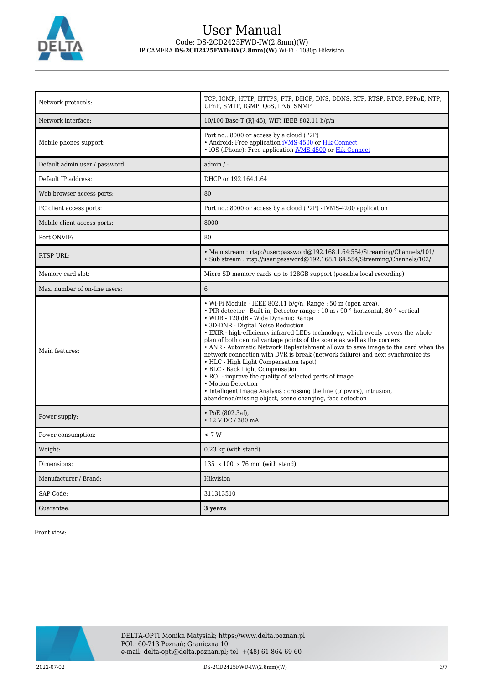

| Network protocols:             | TCP, ICMP, HTTP, HTTPS, FTP, DHCP, DNS, DDNS, RTP, RTSP, RTCP, PPPoE, NTP,<br>UPnP, SMTP, IGMP, QoS, IPv6, SNMP                                                                                                                                                                                                                                                                                                                                                                                                                                                                                                                                                                                                                                                                                                                                                            |
|--------------------------------|----------------------------------------------------------------------------------------------------------------------------------------------------------------------------------------------------------------------------------------------------------------------------------------------------------------------------------------------------------------------------------------------------------------------------------------------------------------------------------------------------------------------------------------------------------------------------------------------------------------------------------------------------------------------------------------------------------------------------------------------------------------------------------------------------------------------------------------------------------------------------|
| Network interface:             | 10/100 Base-T (RJ-45), WiFi IEEE 802.11 b/g/n                                                                                                                                                                                                                                                                                                                                                                                                                                                                                                                                                                                                                                                                                                                                                                                                                              |
| Mobile phones support:         | Port no.: 8000 or access by a cloud (P2P)<br>• Android: Free application <i>iVMS-4500</i> or Hik-Connect<br>• iOS (iPhone): Free application iVMS-4500 or Hik-Connect                                                                                                                                                                                                                                                                                                                                                                                                                                                                                                                                                                                                                                                                                                      |
| Default admin user / password: | $admin / -$                                                                                                                                                                                                                                                                                                                                                                                                                                                                                                                                                                                                                                                                                                                                                                                                                                                                |
| Default IP address:            | DHCP or 192.164.1.64                                                                                                                                                                                                                                                                                                                                                                                                                                                                                                                                                                                                                                                                                                                                                                                                                                                       |
| Web browser access ports:      | 80                                                                                                                                                                                                                                                                                                                                                                                                                                                                                                                                                                                                                                                                                                                                                                                                                                                                         |
| PC client access ports:        | Port no.: 8000 or access by a cloud (P2P) - iVMS-4200 application                                                                                                                                                                                                                                                                                                                                                                                                                                                                                                                                                                                                                                                                                                                                                                                                          |
| Mobile client access ports:    | 8000                                                                                                                                                                                                                                                                                                                                                                                                                                                                                                                                                                                                                                                                                                                                                                                                                                                                       |
| Port ONVIF:                    | 80                                                                                                                                                                                                                                                                                                                                                                                                                                                                                                                                                                                                                                                                                                                                                                                                                                                                         |
| <b>RTSP URL:</b>               | • Main stream: rtsp://user.password@192.168.1.64:554/Streaming/Channels/101/<br>• Sub stream: rtsp://user.password@192.168.1.64.554/Streaming/Channels/102/                                                                                                                                                                                                                                                                                                                                                                                                                                                                                                                                                                                                                                                                                                                |
| Memory card slot:              | Micro SD memory cards up to 128GB support (possible local recording)                                                                                                                                                                                                                                                                                                                                                                                                                                                                                                                                                                                                                                                                                                                                                                                                       |
| Max. number of on-line users:  | 6                                                                                                                                                                                                                                                                                                                                                                                                                                                                                                                                                                                                                                                                                                                                                                                                                                                                          |
| Main features:                 | • Wi-Fi Module - IEEE 802.11 b/g/n, Range : 50 m (open area),<br>• PIR detector - Built-in, Detector range : 10 m / 90 ° horizontal, 80 ° vertical<br>• WDR - 120 dB - Wide Dynamic Range<br>• 3D-DNR - Digital Noise Reduction<br>• EXIR - high-efficiency infrared LEDs technology, which evenly covers the whole<br>plan of both central vantage points of the scene as well as the corners<br>• ANR - Automatic Network Replenishment allows to save image to the card when the<br>network connection with DVR is break (network failure) and next synchronize its<br>• HLC - High Light Compensation (spot)<br>• BLC - Back Light Compensation<br>• ROI - improve the quality of selected parts of image<br>• Motion Detection<br>• Intelligent Image Analysis : crossing the line (tripwire), intrusion,<br>abandoned/missing object, scene changing, face detection |
| Power supply:                  | $\cdot$ PoE (802.3af),<br>• 12 V DC / 380 mA                                                                                                                                                                                                                                                                                                                                                                                                                                                                                                                                                                                                                                                                                                                                                                                                                               |
| Power consumption:             | < 7 W                                                                                                                                                                                                                                                                                                                                                                                                                                                                                                                                                                                                                                                                                                                                                                                                                                                                      |
| Weight:                        | $0.23$ kg (with stand)                                                                                                                                                                                                                                                                                                                                                                                                                                                                                                                                                                                                                                                                                                                                                                                                                                                     |
| Dimensions:                    | 135 x 100 x 76 mm (with stand)                                                                                                                                                                                                                                                                                                                                                                                                                                                                                                                                                                                                                                                                                                                                                                                                                                             |
| Manufacturer / Brand:          | Hikvision                                                                                                                                                                                                                                                                                                                                                                                                                                                                                                                                                                                                                                                                                                                                                                                                                                                                  |
| SAP Code:                      | 311313510                                                                                                                                                                                                                                                                                                                                                                                                                                                                                                                                                                                                                                                                                                                                                                                                                                                                  |
| Guarantee:                     | 3 years                                                                                                                                                                                                                                                                                                                                                                                                                                                                                                                                                                                                                                                                                                                                                                                                                                                                    |

Front view:

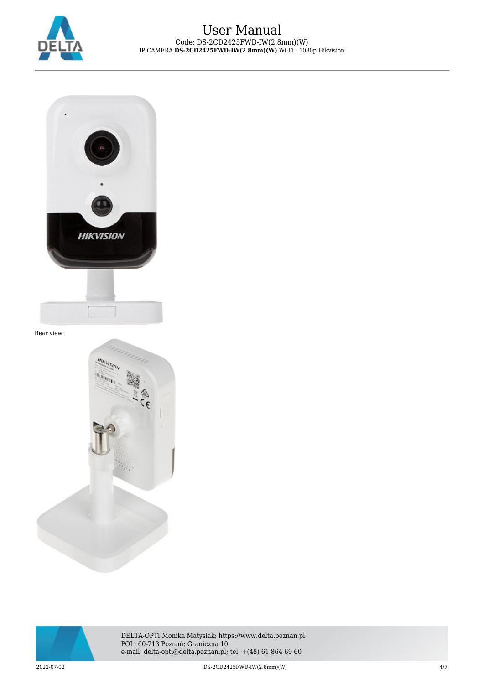



Rear view:



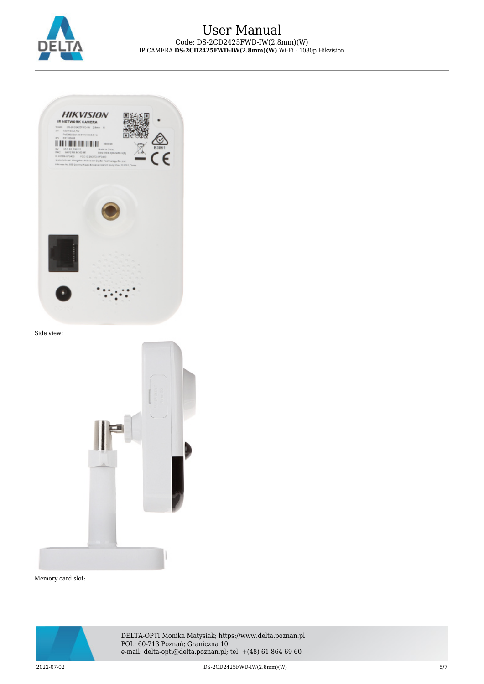



Side view:



Memory card slot:



DELTA-OPTI Monika Matysiak; https://www.delta.poznan.pl POL; 60-713 Poznań; Graniczna 10 e-mail: delta-opti@delta.poznan.pl; tel: +(48) 61 864 69 60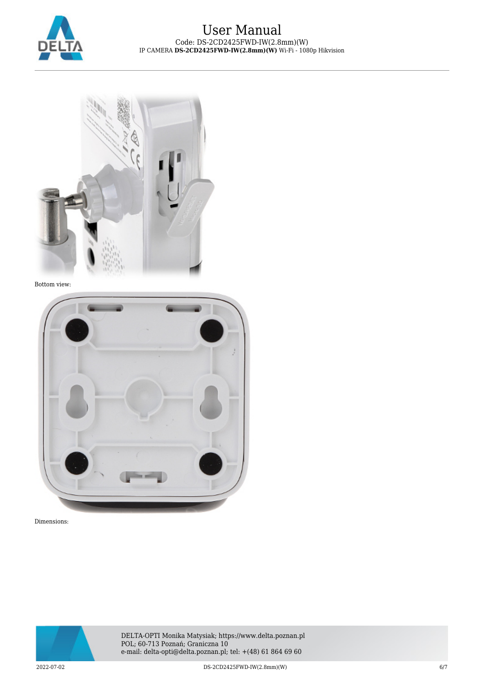



Bottom view:



Dimensions:



DELTA-OPTI Monika Matysiak; https://www.delta.poznan.pl POL; 60-713 Poznań; Graniczna 10 e-mail: delta-opti@delta.poznan.pl; tel: +(48) 61 864 69 60